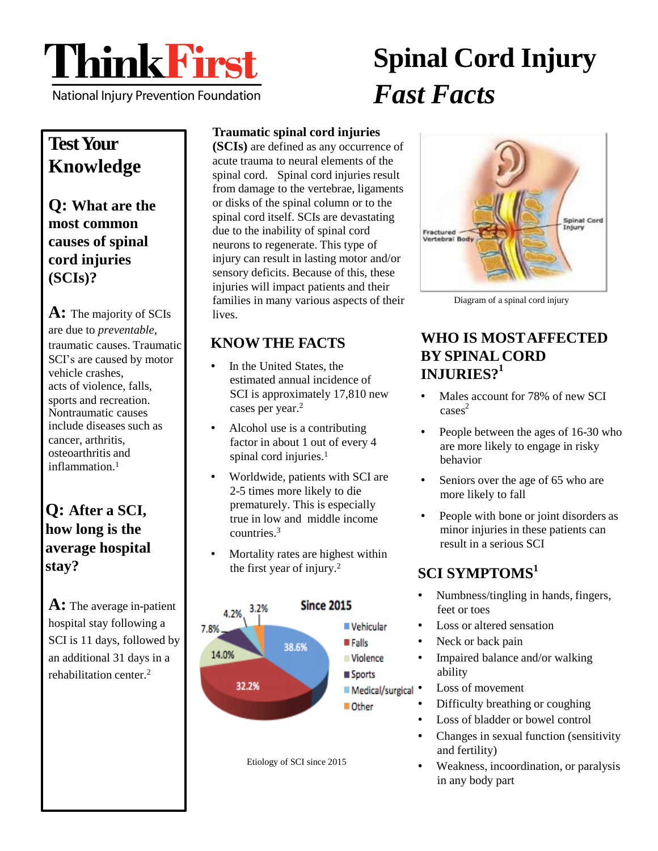

National Injury Prevention Foundation

# **Spinal Cord Injury** *Fast Facts*

## **TestYour Knowledge**

**Q: What are the most common causes of spinal cord injuries (SCIs)?**

**A:** The majority of SCIs are due to *preventable,* traumatic causes. Traumatic SCI's are caused by motor vehicle crashes, acts of violence, falls, sports and recreation. Nontraumatic causes include diseases such as cancer, arthritis, osteoarthritis and inflammation.<sup>1</sup>

### **Q: After a SCI, how long is the average hospital stay?**

**A:** The average in-patient hospital stay following a SCI is 11 days, followed by an additional 31 days in a rehabilitation center.<sup>2</sup>

### **Traumatic spinal cord injuries**

**(SCIs)** are defined as any occurrence of acute trauma to neural elements of the spinal cord. Spinal cord injuries result from damage to the vertebrae, ligaments or disks of the spinal column or to the spinal cord itself. SCIs are devastating due to the inability of spinal cord neurons to regenerate. This type of injury can result in lasting motor and/or sensory deficits. Because of this, these injuries will impact patients and their families in many various aspects of their lives.

### **KNOW THE FACTS**

- In the United States, the estimated annual incidence of SCI is approximately 17,810 new cases per year.<sup>2</sup>
- Alcohol use is a contributing factor in about 1 out of every 4 spinal cord injuries.<sup>1</sup>
- Worldwide, patients with SCI are 2-5 times more likely to die prematurely. This is especially true in low and middle income countries.<sup>3</sup>
- Mortality rates are highest within the first year of injury.<sup>2</sup>



Etiology of SCI since 2015



Diagram of a spinal cord injury

### **1 INJURIES? WHO IS MOSTAFFECTED BY SPINAL CORD**

- cases<sup>2</sup> Males account for 78% of new SCI
- People between the ages of 16-30 who are more likely to engage in risky behavior
- Seniors over the age of 65 who are more likely to fall
- People with bone or joint disorders as minor injuries in these patients can result in a serious SCI

### **1 SCI SYMPTOMS**

- Numbness/tingling in hands, fingers, feet or toes
- Loss or altered sensation
- Neck or back pain
- Impaired balance and/or walking ability
- **I** Medical/surgical Loss of movement
	- Difficulty breathing or coughing
	- Loss of bladder or bowel control
	- Changes in sexual function (sensitivity and fertility)
	- Weakness, incoordination, or paralysis in any body part